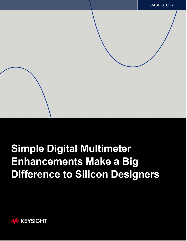## **Simple Digital Multimeter Enhancements Make a Big Difference to Silicon Designers**

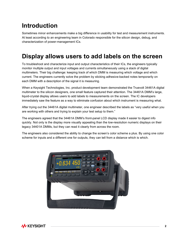## **Introduction**

Sometimes minor enhancements make a big difference in usability for test and measurement instruments. At least according to an engineering team in Colorado responsible for the silicon design, debug, and characterization of power-management ICs.

## **Display allows users to add labels on the screen**

To troubleshoot and characterize input and output characteristics of their ICs, the engineers typically monitor multiple output and input voltages and currents simultaneously using a stack of digital multimeters. Their big challenge: keeping track of which DMM is measuring which voltage and which current. The engineers currently solve the problem by sticking adhesive-backed notes temporarily on each DMM with a description of the signal it is measuring.

When a Keysight Technologies, Inc. product development team demonstrated the Truevolt 34461A digital multimeter to the silicon designers, one small feature captured their attention. The 34461A DMM's large, liquid-crystal display allows users to add labels to measurements on the screen. The IC developers immediately saw the feature as a way to eliminate confusion about which instrument is measuring what.

After trying out the 34461A digital multimeter, one engineer described the labels as "very useful when you are working with others and trying to explain your test setup to them."

The engineers agreed that the 34461A DMM's front-panel LCD display made it easier to digest info quickly. Not only is the display more visually appealing than the low-resolution numeric displays on their legacy 34401A DMMs, but they can read it clearly from across the room.

The engineers also considered the ability to change the screen's color scheme a plus. By using one color scheme for inputs and a different one for outputs, they can tell from a distance which is which.